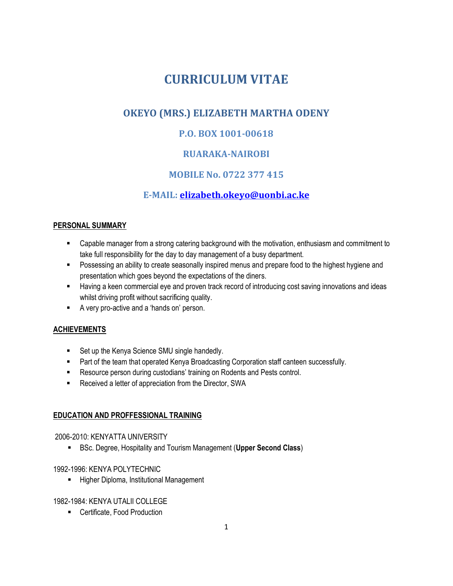# **CURRICULUM VITAE**

# **OKEYO (MRS.) ELIZABETH MARTHA ODENY**

# **P.O. BOX 1001-00618**

# **RUARAKA-NAIROBI**

# **MOBILE No. 0722 377 415**

# **E-MAIL: [elizabeth.okeyo@uonbi.ac.ke](mailto:elizabeth.okeyo@uonbi.ac.ke)**

#### **PERSONAL SUMMARY**

- **EXEC** Capable manager from a strong catering background with the motivation, enthusiasm and commitment to take full responsibility for the day to day management of a busy department.
- **•** Possessing an ability to create seasonally inspired menus and prepare food to the highest hygiene and presentation which goes beyond the expectations of the diners.
- **EXTER Having a keen commercial eye and proven track record of introducing cost saving innovations and ideas** whilst driving profit without sacrificing quality.
- A very pro-active and a 'hands on' person.

#### **ACHIEVEMENTS**

- **BEE Set up the Kenya Science SMU single handedly.**
- **Part of the team that operated Kenya Broadcasting Corporation staff canteen successfully.**
- **Resource person during custodians' training on Rodents and Pests control.**
- **Received a letter of appreciation from the Director, SWA**

#### **EDUCATION AND PROFFESSIONAL TRAINING**

#### 2006-2010: KENYATTA UNIVERSITY

**BSc. Degree, Hospitality and Tourism Management (Upper Second Class)** 

#### 1992-1996: KENYA POLYTECHNIC

**Higher Diploma, Institutional Management** 

#### 1982-1984: KENYA UTALII COLLEGE

**EXEC** Certificate, Food Production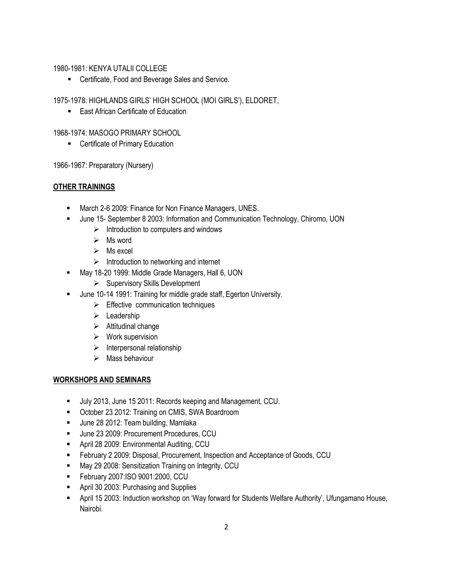#### 1980-1981: KENYA UTALII COLLEGE

**EXEC** Certificate, Food and Beverage Sales and Service.

1975-1978: HIGHLANDS GIRLS' HIGH SCHOOL (MOI GIRLS'), ELDORET,

**East African Certificate of Education** 

#### 1968-1974: MASOGO PRIMARY SCHOOL

**EXEC** Certificate of Primary Education

1966-1967: Preparatory (Nursery)

#### **OTHER TRAININGS**

- **March 2-6 2009: Finance for Non Finance Managers, UNES.**
- **June 15- September 8 2003: Information and Communication Technology, Chiromo, UON** 
	- $\triangleright$  Introduction to computers and windows
	- $\triangleright$  Ms word
	- $\triangleright$  Ms excel
	- $\triangleright$  Introduction to networking and internet
- **May 18-20 1999: Middle Grade Managers, Hall 6, UON** 
	- $\triangleright$  Supervisory Skills Development
- **June 10-14 1991: Training for middle grade staff, Egerton University.** 
	- $\triangleright$  Effective communication techniques
	- $\triangleright$  Leadership
	- $\triangleright$  Attitudinal change
	- $\triangleright$  Work supervision
	- $\triangleright$  Interpersonal relationship
	- $\triangleright$  Mass behaviour

#### **WORKSHOPS AND SEMINARS**

- Ully 2013, June 15 2011: Records keeping and Management, CCU.
- **EXECT** October 23 2012: Training on CMIS, SWA Boardroom
- **June 28 2012: Team building, Mamlaka**
- **June 23 2009: Procurement Procedures, CCU**
- **B** April 28 2009: Environmental Auditing, CCU
- **February 2 2009: Disposal, Procurement, Inspection and Acceptance of Goods, CCU**
- **May 29 2008: Sensitization Training on Integrity, CCU**
- **February 2007:ISO 9001:2000, CCU**
- **April 30 2003: Purchasing and Supplies**
- **April 15 2003: Induction workshop on 'Way forward for Students Welfare Authority', Ufungamano House,** Nairobi.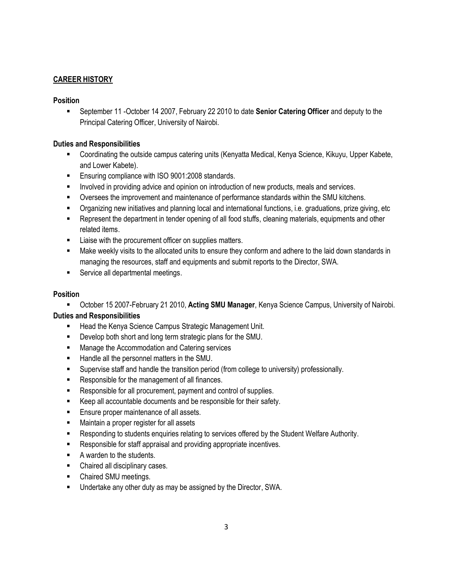#### **CAREER HISTORY**

#### **Position**

ß September 11 -October 14 2007, February 22 2010 to date **Senior Catering Officer** and deputy to the Principal Catering Officer, University of Nairobi.

#### **Duties and Responsibilities**

- **Coordinating the outside campus catering units (Kenyatta Medical, Kenya Science, Kikuyu, Upper Kabete,** and Lower Kabete).
- **Ensuring compliance with ISO 9001:2008 standards.**
- **Involved in providing advice and opinion on introduction of new products, meals and services.**
- **•** Oversees the improvement and maintenance of performance standards within the SMU kitchens.
- ß Organizing new initiatives and planning local and international functions, i.e. graduations, prize giving, etc
- **EXECT** Represent the department in tender opening of all food stuffs, cleaning materials, equipments and other related items.
- **EXECUTE:** Liaise with the procurement officer on supplies matters.
- **K** Make weekly visits to the allocated units to ensure they conform and adhere to the laid down standards in managing the resources, staff and equipments and submit reports to the Director, SWA.
- **Service all departmental meetings.**

#### **Position**

ß October 15 2007-February 21 2010, **Acting SMU Manager**, Kenya Science Campus, University of Nairobi. **Duties and Responsibilities**

- **Head the Kenya Science Campus Strategic Management Unit.**
- **•** Develop both short and long term strategic plans for the SMU.
- **EXECOMED Manage the Accommodation and Catering services**
- **Handle all the personnel matters in the SMU.**
- **Supervise staff and handle the transition period (from college to university) professionally.**
- Responsible for the management of all finances.
- Responsible for all procurement, payment and control of supplies.
- Keep all accountable documents and be responsible for their safety.
- **Ensure proper maintenance of all assets.**
- **Hetain** Maintain a proper register for all assets
- **Responding to students enquiries relating to services offered by the Student Welfare Authority.**
- **EXECTE:** Responsible for staff appraisal and providing appropriate incentives.
- $\blacksquare$  A warden to the students.
- Chaired all disciplinary cases.
- Chaired SMU meetings.
- **Undertake any other duty as may be assigned by the Director, SWA.**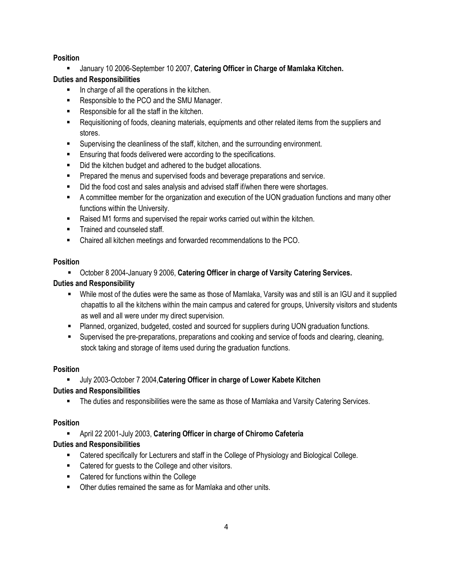#### **Position**

**EXEDED January 10 2006-September 10 2007, Catering Officer in Charge of Mamlaka Kitchen.** 

#### **Duties and Responsibilities**

- **IF** In charge of all the operations in the kitchen.
- Responsible to the PCO and the SMU Manager.
- Responsible for all the staff in the kitchen.
- **Requisitioning of foods, cleaning materials, equipments and other related items from the suppliers and** stores.
- **Supervising the cleanliness of the staff, kitchen, and the surrounding environment.**
- **Ensuring that foods delivered were according to the specifications.**
- Did the kitchen budget and adhered to the budget allocations.
- **Prepared the menus and supervised foods and beverage preparations and service.**
- Did the food cost and sales analysis and advised staff if/when there were shortages.
- **EXECT** A committee member for the organization and execution of the UON graduation functions and many other functions within the University.
- Raised M1 forms and supervised the repair works carried out within the kitchen.
- **Figure 1** Trained and counseled staff.
- Chaired all kitchen meetings and forwarded recommendations to the PCO.

#### **Position**

**EXECT:** October 8 2004-January 9 2006, Catering Officer in charge of Varsity Catering Services.

#### **Duties and Responsibility**

- While most of the duties were the same as those of Mamlaka, Varsity was and still is an IGU and it supplied chapattis to all the kitchens within the main campus and catered for groups, University visitors and students as well and all were under my direct supervision.
- **•** Planned, organized, budgeted, costed and sourced for suppliers during UON graduation functions.
- **Supervised the pre-preparations, preparations and cooking and service of foods and clearing, cleaning, in Super** stock taking and storage of items used during the graduation functions.

#### **Position**

#### ß July 2003-October 7 2004,**Catering Officer in charge of Lower Kabete Kitchen**

#### **Duties and Responsibilities**

**F** The duties and responsibilities were the same as those of Mamlaka and Varsity Catering Services.

#### **Position**

#### **EXEC April 22 2001-July 2003, Catering Officer in charge of Chiromo Cafeteria**

#### **Duties and Responsibilities**

- **Example 2** Catered specifically for Lecturers and staff in the College of Physiology and Biological College.
- Catered for quests to the College and other visitors.
- Catered for functions within the College
- **Other duties remained the same as for Mamlaka and other units.**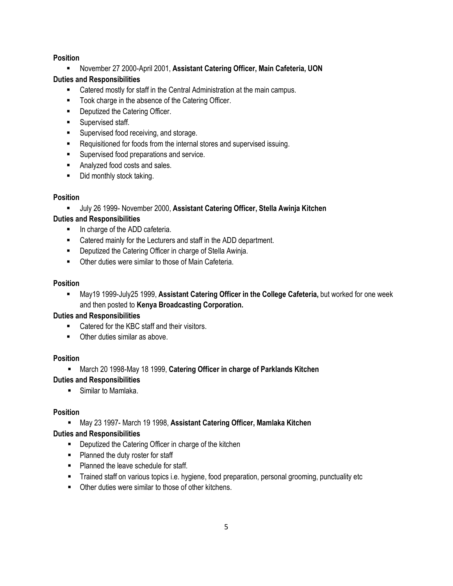#### **Position**

**EXECTE:** November 27 2000-April 2001, Assistant Catering Officer, Main Cafeteria, UON

#### **Duties and Responsibilities**

- **EXECT** Catered mostly for staff in the Central Administration at the main campus.
- **Took charge in the absence of the Catering Officer.**
- **•** Deputized the Catering Officer.
- **Supervised staff.**
- **Supervised food receiving, and storage.**
- Requisitioned for foods from the internal stores and supervised issuing.
- **EXECUTE:** Supervised food preparations and service.
- **Analyzed food costs and sales.**
- $\blacksquare$  Did monthly stock taking.

#### **Position**

**July 26 1999- November 2000, Assistant Catering Officer, Stella Awinja Kitchen** 

#### **Duties and Responsibilities**

- **In charge of the ADD cafeteria.**
- **EXECT** Catered mainly for the Lecturers and staff in the ADD department.
- **Deputized the Catering Officer in charge of Stella Awinja.**
- **EXECUTE:** Other duties were similar to those of Main Cafeteria.

#### **Position**

**Kay19 1999-July25 1999, Assistant Catering Officer in the College Cafeteria, but worked for one week** and then posted to **Kenya Broadcasting Corporation.**

#### **Duties and Responsibilities**

- Catered for the KBC staff and their visitors.
- $\blacksquare$  Other duties similar as above.

#### **Position**

**Karch 20 1998-May 18 1999, Catering Officer in charge of Parklands Kitchen** 

#### **Duties and Responsibilities**

**Similar to Mamlaka.** 

#### **Position**

**Kay 23 1997-March 19 1998, Assistant Catering Officer, Mamlaka Kitchen** 

#### **Duties and Responsibilities**

- **•** Deputized the Catering Officer in charge of the kitchen
- **Planned the duty roster for staff**
- **Planned the leave schedule for staff.**
- **F** Trained staff on various topics i.e. hygiene, food preparation, personal grooming, punctuality etc
- Other duties were similar to those of other kitchens.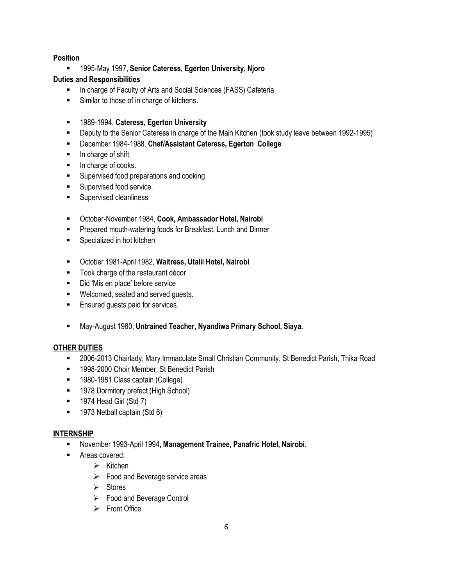#### **Position**

ß 1995-May 1997, **Senior Cateress, Egerton University, Njoro**

#### **Duties and Responsibilities**

- **In charge of Faculty of Arts and Social Sciences (FASS) Cafeteria**
- **Similar to those of in charge of kitchens.**
- ß 1989-1994, **Cateress, Egerton University**
- **Deputy to the Senior Cateress in charge of the Main Kitchen (took study leave between 1992-1995)**
- ß December 1984-1988. **Chef/Assistant Cateress, Egerton College**
- **In charge of shift**
- In charge of cooks.
- **Bupervised food preparations and cooking**
- **Supervised food service.**
- **Supervised cleanliness**
- ß October-November 1984, **Cook, Ambassador Hotel, Nairobi**
- **Prepared mouth-watering foods for Breakfast, Lunch and Dinner**
- **Specialized in hot kitchen**
- ß October 1981-April 1982, **Waitress, Utalii Hotel, Nairobi**
- **Took charge of the restaurant décor**
- Did 'Mis en place' before service
- **Welcomed, seated and served guests.**
- **Ensured guests paid for services.**
- ß May-August 1980, **Untrained Teacher, Nyandiwa Primary School, Siaya.**

#### **OTHER DUTIES**

- ß 2006-2013 Chairlady, Mary Immaculate Small Christian Community, St Benedict Parish, Thika Road
- **1998-2000 Choir Member, St Benedict Parish**
- **1980-1981 Class captain (College)**
- **B** 1978 Dormitory prefect (High School)
- $\blacksquare$  1974 Head Girl (Std 7)
- **1973 Netball captain (Std 6)**

#### **INTERNSHIP**

- **EXECT** November 1993-April 1994, Management Trainee, Panafric Hotel, Nairobi.
- **EXEC** Areas covered:
	- $\triangleright$  Kitchen
	- $\triangleright$  Food and Beverage service areas
	- $\triangleright$  Stores
	- $\triangleright$  Food and Beverage Control
	- $\triangleright$  Front Office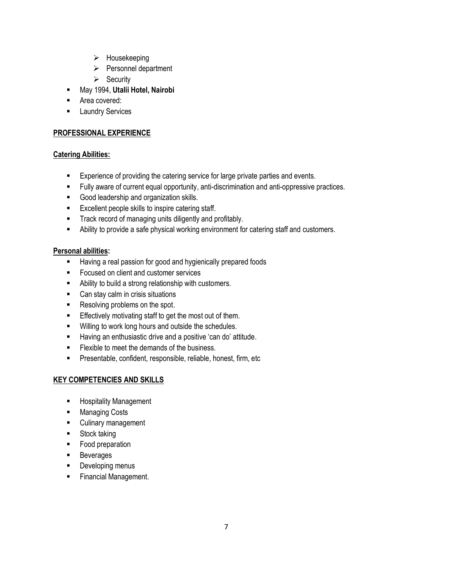- $\triangleright$  Housekeeping
- $\triangleright$  Personnel department
- $\triangleright$  Security
- ß May 1994, **Utalii Hotel, Nairobi**
- **Rea covered:**
- **Example 2** Laundry Services

#### **PROFESSIONAL EXPERIENCE**

#### **Catering Abilities:**

- **Experience of providing the catering service for large private parties and events.**
- **Fully aware of current equal opportunity, anti-discrimination and anti-oppressive practices.**
- Good leadership and organization skills.
- **Excellent people skills to inspire catering staff.**
- **F** Track record of managing units diligently and profitably.
- Ability to provide a safe physical working environment for catering staff and customers.

#### **Personal abilities:**

- **Having a real passion for good and hygienically prepared foods**
- **Focused on client and customer services**
- **EXECUTE:** Ability to build a strong relationship with customers.
- Can stay calm in crisis situations
- Resolving problems on the spot.
- **Effectively motivating staff to get the most out of them.**
- **Willing to work long hours and outside the schedules.**
- **Having an enthusiastic drive and a positive 'can do' attitude.**
- **Flexible to meet the demands of the business.**
- **•** Presentable, confident, responsible, reliable, honest, firm, etc

#### **KEY COMPETENCIES AND SKILLS**

- **EXEC** Hospitality Management
- **Kanaging Costs**
- **EXECUTE CULTARY MANAGEMENT**
- **Stock taking**
- Food preparation
- **Beverages**
- **•** Developing menus
- **Financial Management.**